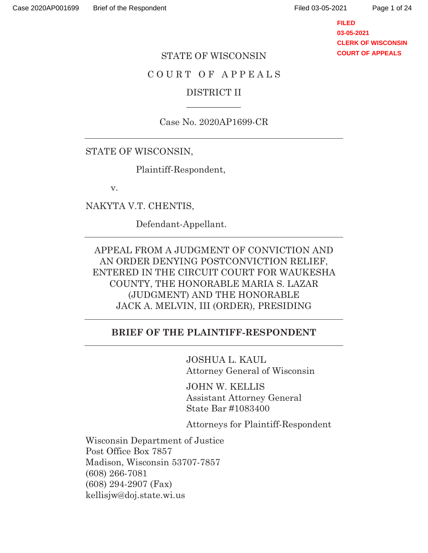**FILED 03-05-2021 CLERK OF WISCONSIN COURT OF APPEALS**

#### STATE OF WISCONSIN

## COURT OF APPEALS

## DISTRICT II  $\overline{\phantom{a}}$

### Case No. 2020AP1699-CR

#### STATE OF WISCONSIN,

Plaintiff-Respondent,

v.

NAKYTA V.T. CHENTIS,

Defendant-Appellant.

APPEAL FROM A JUDGMENT OF CONVICTION AND AN ORDER DENYING POSTCONVICTION RELIEF, ENTERED IN THE CIRCUIT COURT FOR WAUKESHA COUNTY, THE HONORABLE MARIA S. LAZAR (JUDGMENT) AND THE HONORABLE JACK A. MELVIN, III (ORDER), PRESIDING

#### **BRIEF OF THE PLAINTIFF-RESPONDENT**

 JOSHUA L. KAUL Attorney General of Wisconsin

 JOHN W. KELLIS Assistant Attorney General State Bar #1083400

Attorneys for Plaintiff-Respondent

Wisconsin Department of Justice Post Office Box 7857 Madison, Wisconsin 53707-7857 (608) 266-7081 (608) 294-2907 (Fax) kellisjw@doj.state.wi.us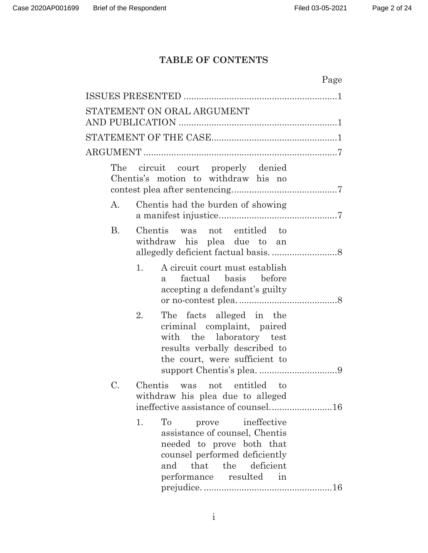# **TABLE OF CONTENTS**

|           |                                                                                                                                                                                    | Page |
|-----------|------------------------------------------------------------------------------------------------------------------------------------------------------------------------------------|------|
|           |                                                                                                                                                                                    |      |
|           | STATEMENT ON ORAL ARGUMENT                                                                                                                                                         |      |
|           |                                                                                                                                                                                    |      |
|           |                                                                                                                                                                                    |      |
|           |                                                                                                                                                                                    |      |
| The       | circuit court properly denied<br>Chentis's motion to withdraw his no                                                                                                               |      |
| A.        | Chentis had the burden of showing                                                                                                                                                  |      |
| <b>B.</b> | Chentis was not entitled to<br>withdraw his plea due to an                                                                                                                         |      |
| 1.        | A circuit court must establish<br>factual basis before<br>a<br>accepting a defendant's guilty                                                                                      |      |
| 2.        | The facts alleged in the<br>criminal complaint, paired<br>with the laboratory test<br>results verbally described to<br>the court, were sufficient to                               |      |
| C.        | Chentis was not entitled to<br>withdraw his plea due to alleged<br>ineffective assistance of counsel16                                                                             |      |
| 1.        | To<br>prove ineffective<br>assistance of counsel, Chentis<br>needed to prove both that<br>counsel performed deficiently<br>the deficient<br>that<br>and<br>performance resulted in |      |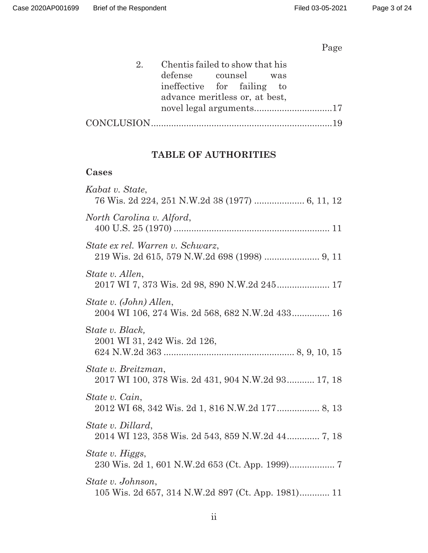# Page

| 2. Chentis failed to show that his |  |  |  |
|------------------------------------|--|--|--|
| defense counsel was                |  |  |  |
| ineffective for failing to         |  |  |  |
| advance meritless or, at best,     |  |  |  |
|                                    |  |  |  |
|                                    |  |  |  |

## **TABLE OF AUTHORITIES**

## **Cases**

| Kabat v. State,                                                           |
|---------------------------------------------------------------------------|
| North Carolina v. Alford,                                                 |
| State ex rel. Warren v. Schwarz,                                          |
| State v. Allen,                                                           |
| State v. (John) Allen,<br>2004 WI 106, 274 Wis. 2d 568, 682 N.W.2d 433 16 |
| State v. Black,<br>2001 WI 31, 242 Wis. 2d 126,                           |
| State v. Breitzman,<br>2017 WI 100, 378 Wis. 2d 431, 904 N.W.2d 93 17, 18 |
| State v. Cain,<br>2012 WI 68, 342 Wis. 2d 1, 816 N.W.2d 177 8, 13         |
| State v. Dillard,                                                         |
| State v. Higgs,                                                           |
| State v. Johnson,<br>105 Wis. 2d 657, 314 N.W.2d 897 (Ct. App. 1981) 11   |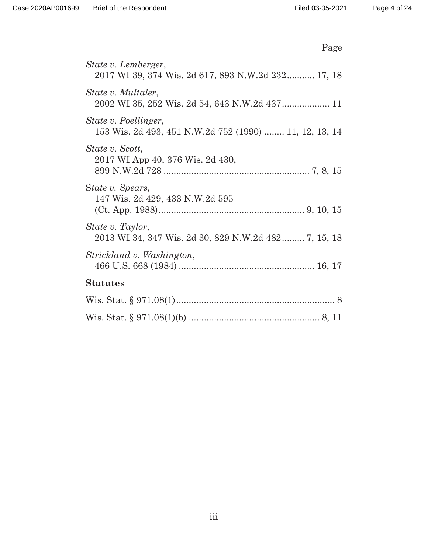| Page                                                                           |
|--------------------------------------------------------------------------------|
| State v. Lemberger,<br>2017 WI 39, 374 Wis. 2d 617, 893 N.W.2d 232 17, 18      |
| State v. Multaler,<br>2002 WI 35, 252 Wis. 2d 54, 643 N.W.2d 437 11            |
| State v. Poellinger,<br>153 Wis. 2d 493, 451 N.W.2d 752 (1990)  11, 12, 13, 14 |
| State v. Scott,<br>2017 WI App 40, 376 Wis. 2d 430,                            |
| State v. Spears,<br>147 Wis. 2d 429, 433 N.W.2d 595                            |
| State v. Taylor,<br>2013 WI 34, 347 Wis. 2d 30, 829 N.W.2d 482 7, 15, 18       |
| Strickland v. Washington,                                                      |
| <b>Statutes</b>                                                                |
|                                                                                |
|                                                                                |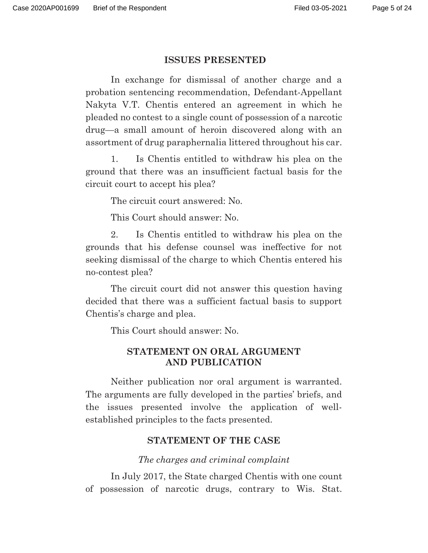#### **ISSUES PRESENTED**

 In exchange for dismissal of another charge and a probation sentencing recommendation, Defendant-Appellant Nakyta V.T. Chentis entered an agreement in which he pleaded no contest to a single count of possession of a narcotic drug—a small amount of heroin discovered along with an assortment of drug paraphernalia littered throughout his car.

1. Is Chentis entitled to withdraw his plea on the ground that there was an insufficient factual basis for the circuit court to accept his plea?

The circuit court answered: No.

This Court should answer: No.

2. Is Chentis entitled to withdraw his plea on the grounds that his defense counsel was ineffective for not seeking dismissal of the charge to which Chentis entered his no-contest plea?

The circuit court did not answer this question having decided that there was a sufficient factual basis to support Chentis's charge and plea.

This Court should answer: No.

## **STATEMENT ON ORAL ARGUMENT AND PUBLICATION**

 Neither publication nor oral argument is warranted. The arguments are fully developed in the parties' briefs, and the issues presented involve the application of wellestablished principles to the facts presented.

### **STATEMENT OF THE CASE**

*The charges and criminal complaint* 

 In July 2017, the State charged Chentis with one count of possession of narcotic drugs, contrary to Wis. Stat.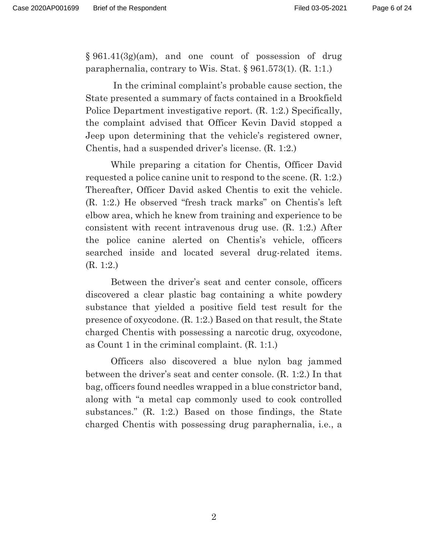§ 961.41(3g)(am), and one count of possession of drug paraphernalia, contrary to Wis. Stat. § 961.573(1). (R. 1:1.)

 In the criminal complaint's probable cause section, the State presented a summary of facts contained in a Brookfield Police Department investigative report. (R. 1:2.) Specifically, the complaint advised that Officer Kevin David stopped a Jeep upon determining that the vehicle's registered owner, Chentis, had a suspended driver's license. (R. 1:2.)

 While preparing a citation for Chentis, Officer David requested a police canine unit to respond to the scene. (R. 1:2.) Thereafter, Officer David asked Chentis to exit the vehicle. (R. 1:2.) He observed "fresh track marks" on Chentis's left elbow area, which he knew from training and experience to be consistent with recent intravenous drug use. (R. 1:2.) After the police canine alerted on Chentis's vehicle, officers searched inside and located several drug-related items. (R. 1:2.)

 Between the driver's seat and center console, officers discovered a clear plastic bag containing a white powdery substance that yielded a positive field test result for the presence of oxycodone. (R. 1:2.) Based on that result, the State charged Chentis with possessing a narcotic drug, oxycodone, as Count 1 in the criminal complaint. (R. 1:1.)

 Officers also discovered a blue nylon bag jammed between the driver's seat and center console. (R. 1:2.) In that bag, officers found needles wrapped in a blue constrictor band, along with "a metal cap commonly used to cook controlled substances." (R. 1:2.) Based on those findings, the State charged Chentis with possessing drug paraphernalia, i.e., a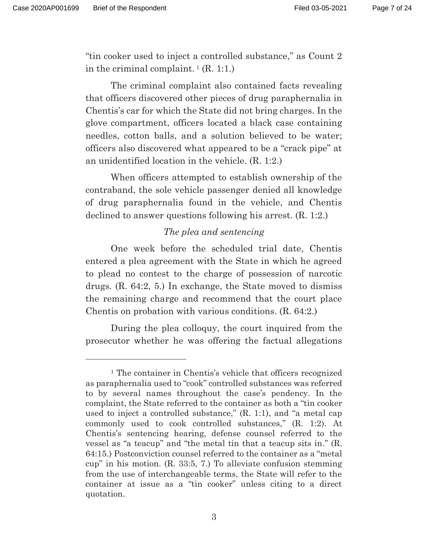"tin cooker used to inject a controlled substance," as Count 2 in the criminal complaint.  $^1$  (R. 1:1.)

 The criminal complaint also contained facts revealing that officers discovered other pieces of drug paraphernalia in Chentis's car for which the State did not bring charges. In the glove compartment, officers located a black case containing needles, cotton balls, and a solution believed to be water; officers also discovered what appeared to be a "crack pipe" at an unidentified location in the vehicle. (R. 1:2.)

 When officers attempted to establish ownership of the contraband, the sole vehicle passenger denied all knowledge of drug paraphernalia found in the vehicle, and Chentis declined to answer questions following his arrest. (R. 1:2.)

## *The plea and sentencing*

 One week before the scheduled trial date, Chentis entered a plea agreement with the State in which he agreed to plead no contest to the charge of possession of narcotic drugs. (R. 64:2, 5.) In exchange, the State moved to dismiss the remaining charge and recommend that the court place Chentis on probation with various conditions. (R. 64:2.)

 During the plea colloquy, the court inquired from the prosecutor whether he was offering the factual allegations

<sup>1</sup> The container in Chentis's vehicle that officers recognized as paraphernalia used to "cook" controlled substances was referred to by several names throughout the case's pendency. In the complaint, the State referred to the container as both a "tin cooker used to inject a controlled substance," (R. 1:1), and "a metal cap commonly used to cook controlled substances," (R. 1:2). At Chentis's sentencing hearing, defense counsel referred to the vessel as "a teacup" and "the metal tin that a teacup sits in." (R. 64:15.) Postconviction counsel referred to the container as a "metal cup" in his motion. (R. 33:5, 7.) To alleviate confusion stemming from the use of interchangeable terms, the State will refer to the container at issue as a "tin cooker" unless citing to a direct quotation.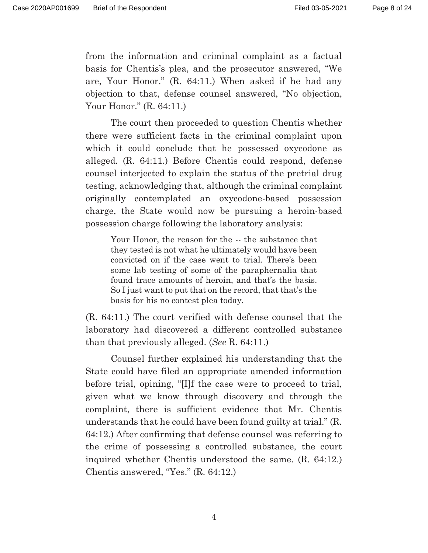from the information and criminal complaint as a factual basis for Chentis's plea, and the prosecutor answered, "We are, Your Honor." (R. 64:11.) When asked if he had any objection to that, defense counsel answered, "No objection, Your Honor." (R. 64:11.)

 The court then proceeded to question Chentis whether there were sufficient facts in the criminal complaint upon which it could conclude that he possessed oxycodone as alleged. (R. 64:11.) Before Chentis could respond, defense counsel interjected to explain the status of the pretrial drug testing, acknowledging that, although the criminal complaint originally contemplated an oxycodone-based possession charge, the State would now be pursuing a heroin-based possession charge following the laboratory analysis:

Your Honor, the reason for the -- the substance that they tested is not what he ultimately would have been convicted on if the case went to trial. There's been some lab testing of some of the paraphernalia that found trace amounts of heroin, and that's the basis. So I just want to put that on the record, that that's the basis for his no contest plea today.

(R. 64:11.) The court verified with defense counsel that the laboratory had discovered a different controlled substance than that previously alleged. (*See* R. 64:11.)

 Counsel further explained his understanding that the State could have filed an appropriate amended information before trial, opining, "[I]f the case were to proceed to trial, given what we know through discovery and through the complaint, there is sufficient evidence that Mr. Chentis understands that he could have been found guilty at trial." (R. 64:12.) After confirming that defense counsel was referring to the crime of possessing a controlled substance, the court inquired whether Chentis understood the same. (R. 64:12.) Chentis answered, "Yes." (R. 64:12.)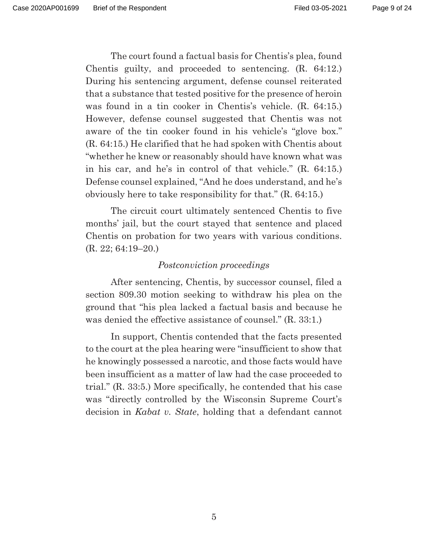The court found a factual basis for Chentis's plea, found Chentis guilty, and proceeded to sentencing. (R. 64:12.) During his sentencing argument, defense counsel reiterated that a substance that tested positive for the presence of heroin was found in a tin cooker in Chentis's vehicle. (R. 64:15.) However, defense counsel suggested that Chentis was not aware of the tin cooker found in his vehicle's "glove box." (R. 64:15.) He clarified that he had spoken with Chentis about "whether he knew or reasonably should have known what was in his car, and he's in control of that vehicle." (R. 64:15.) Defense counsel explained, "And he does understand, and he's obviously here to take responsibility for that." (R. 64:15.)

 The circuit court ultimately sentenced Chentis to five months' jail, but the court stayed that sentence and placed Chentis on probation for two years with various conditions. (R. 22; 64:19–20.)

### *Postconviction proceedings*

 After sentencing, Chentis, by successor counsel, filed a section 809.30 motion seeking to withdraw his plea on the ground that "his plea lacked a factual basis and because he was denied the effective assistance of counsel." (R. 33:1.)

 In support, Chentis contended that the facts presented to the court at the plea hearing were "insufficient to show that he knowingly possessed a narcotic, and those facts would have been insufficient as a matter of law had the case proceeded to trial." (R. 33:5.) More specifically, he contended that his case was "directly controlled by the Wisconsin Supreme Court's decision in *Kabat v. State*, holding that a defendant cannot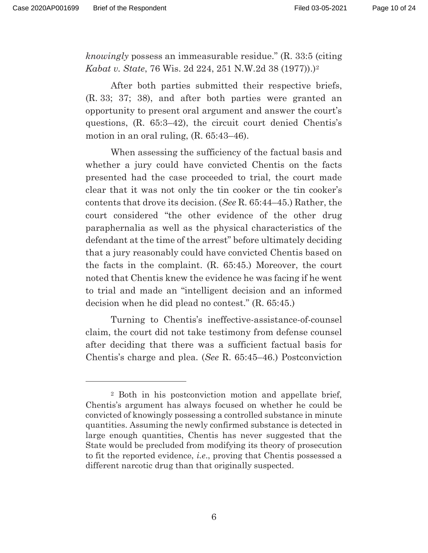*knowingly* possess an immeasurable residue." (R. 33:5 (citing *Kabat v. State*, 76 Wis. 2d 224, 251 N.W.2d 38 (1977)).)2

 After both parties submitted their respective briefs, (R. 33; 37; 38), and after both parties were granted an opportunity to present oral argument and answer the court's questions, (R. 65:3–42), the circuit court denied Chentis's motion in an oral ruling, (R. 65:43–46).

 When assessing the sufficiency of the factual basis and whether a jury could have convicted Chentis on the facts presented had the case proceeded to trial, the court made clear that it was not only the tin cooker or the tin cooker's contents that drove its decision. (*See* R. 65:44–45.) Rather, the court considered "the other evidence of the other drug paraphernalia as well as the physical characteristics of the defendant at the time of the arrest" before ultimately deciding that a jury reasonably could have convicted Chentis based on the facts in the complaint. (R. 65:45.) Moreover, the court noted that Chentis knew the evidence he was facing if he went to trial and made an "intelligent decision and an informed decision when he did plead no contest." (R. 65:45.)

 Turning to Chentis's ineffective-assistance-of-counsel claim, the court did not take testimony from defense counsel after deciding that there was a sufficient factual basis for Chentis's charge and plea. (*See* R. 65:45–46.) Postconviction

<sup>2</sup> Both in his postconviction motion and appellate brief, Chentis's argument has always focused on whether he could be convicted of knowingly possessing a controlled substance in minute quantities. Assuming the newly confirmed substance is detected in large enough quantities, Chentis has never suggested that the State would be precluded from modifying its theory of prosecution to fit the reported evidence, *i.e*., proving that Chentis possessed a different narcotic drug than that originally suspected.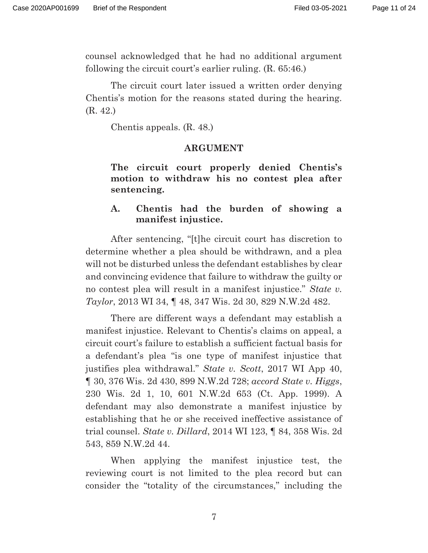counsel acknowledged that he had no additional argument following the circuit court's earlier ruling. (R. 65:46.)

 The circuit court later issued a written order denying Chentis's motion for the reasons stated during the hearing. (R. 42.)

Chentis appeals. (R. 48.)

#### **ARGUMENT**

**The circuit court properly denied Chentis's motion to withdraw his no contest plea after sentencing.** 

## **A. Chentis had the burden of showing a manifest injustice.**

 After sentencing, "[t]he circuit court has discretion to determine whether a plea should be withdrawn, and a plea will not be disturbed unless the defendant establishes by clear and convincing evidence that failure to withdraw the guilty or no contest plea will result in a manifest injustice." *State v. Taylor*, 2013 WI 34, ¶ 48, 347 Wis. 2d 30, 829 N.W.2d 482.

 There are different ways a defendant may establish a manifest injustice. Relevant to Chentis's claims on appeal, a circuit court's failure to establish a sufficient factual basis for a defendant's plea "is one type of manifest injustice that justifies plea withdrawal." *State v. Scott*, 2017 WI App 40, ¶ 30, 376 Wis. 2d 430, 899 N.W.2d 728; *accord State v. Higgs*, 230 Wis. 2d 1, 10, 601 N.W.2d 653 (Ct. App. 1999). A defendant may also demonstrate a manifest injustice by establishing that he or she received ineffective assistance of trial counsel. *State v. Dillard*, 2014 WI 123, ¶ 84, 358 Wis. 2d 543, 859 N.W.2d 44.

 When applying the manifest injustice test, the reviewing court is not limited to the plea record but can consider the "totality of the circumstances," including the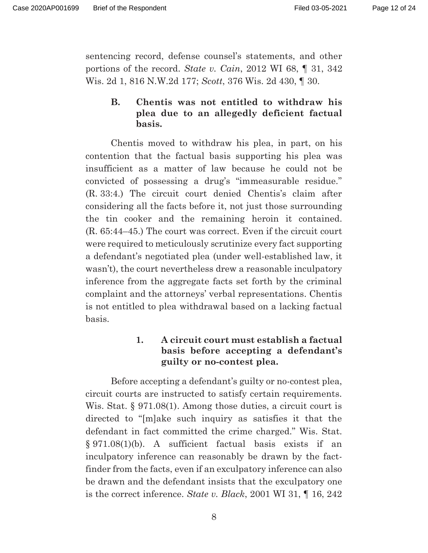sentencing record, defense counsel's statements, and other portions of the record. *State v. Cain*, 2012 WI 68, ¶ 31, 342 Wis. 2d 1, 816 N.W.2d 177; *Scott*, 376 Wis. 2d 430, ¶ 30.

## **B. Chentis was not entitled to withdraw his plea due to an allegedly deficient factual basis.**

 Chentis moved to withdraw his plea, in part, on his contention that the factual basis supporting his plea was insufficient as a matter of law because he could not be convicted of possessing a drug's "immeasurable residue." (R. 33:4.) The circuit court denied Chentis's claim after considering all the facts before it, not just those surrounding the tin cooker and the remaining heroin it contained. (R. 65:44–45.) The court was correct. Even if the circuit court were required to meticulously scrutinize every fact supporting a defendant's negotiated plea (under well-established law, it wasn't), the court nevertheless drew a reasonable inculpatory inference from the aggregate facts set forth by the criminal complaint and the attorneys' verbal representations. Chentis is not entitled to plea withdrawal based on a lacking factual basis.

## **1. A circuit court must establish a factual basis before accepting a defendant's guilty or no-contest plea.**

 Before accepting a defendant's guilty or no-contest plea, circuit courts are instructed to satisfy certain requirements. Wis. Stat. § 971.08(1). Among those duties, a circuit court is directed to "[m]ake such inquiry as satisfies it that the defendant in fact committed the crime charged." Wis. Stat. § 971.08(1)(b). A sufficient factual basis exists if an inculpatory inference can reasonably be drawn by the factfinder from the facts, even if an exculpatory inference can also be drawn and the defendant insists that the exculpatory one is the correct inference. *State v. Black*, 2001 WI 31, ¶ 16, 242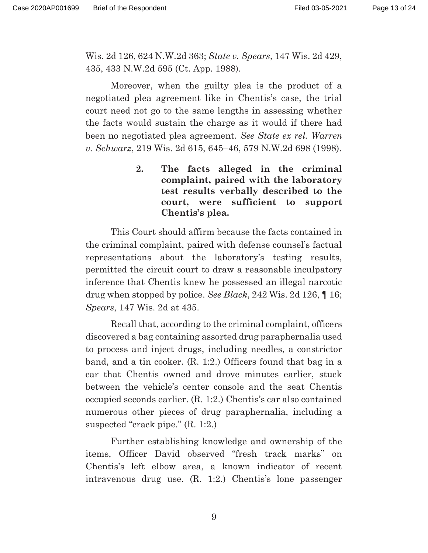Wis. 2d 126, 624 N.W.2d 363; *State v. Spears*, 147 Wis. 2d 429, 435, 433 N.W.2d 595 (Ct. App. 1988).

 Moreover, when the guilty plea is the product of a negotiated plea agreement like in Chentis's case, the trial court need not go to the same lengths in assessing whether the facts would sustain the charge as it would if there had been no negotiated plea agreement. *See State ex rel. Warren v. Schwarz*, 219 Wis. 2d 615, 645–46, 579 N.W.2d 698 (1998).

> **2. The facts alleged in the criminal complaint, paired with the laboratory test results verbally described to the court, were sufficient to support Chentis's plea.**

 This Court should affirm because the facts contained in the criminal complaint, paired with defense counsel's factual representations about the laboratory's testing results, permitted the circuit court to draw a reasonable inculpatory inference that Chentis knew he possessed an illegal narcotic drug when stopped by police. *See Black*, 242 Wis. 2d 126, ¶ 16; *Spears*, 147 Wis. 2d at 435.

 Recall that, according to the criminal complaint, officers discovered a bag containing assorted drug paraphernalia used to process and inject drugs, including needles, a constrictor band, and a tin cooker. (R. 1:2.) Officers found that bag in a car that Chentis owned and drove minutes earlier, stuck between the vehicle's center console and the seat Chentis occupied seconds earlier. (R. 1:2.) Chentis's car also contained numerous other pieces of drug paraphernalia, including a suspected "crack pipe." (R. 1:2.)

 Further establishing knowledge and ownership of the items, Officer David observed "fresh track marks" on Chentis's left elbow area, a known indicator of recent intravenous drug use. (R. 1:2.) Chentis's lone passenger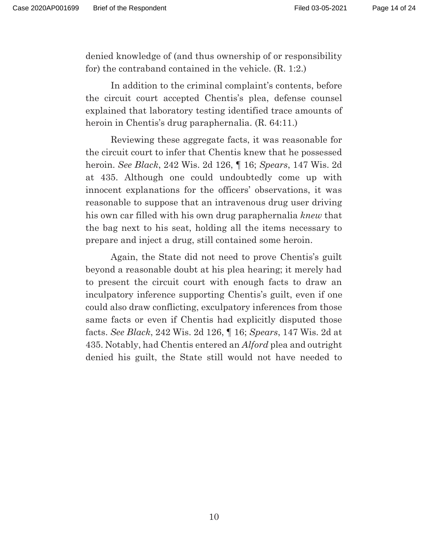denied knowledge of (and thus ownership of or responsibility for) the contraband contained in the vehicle. (R. 1:2.)

 In addition to the criminal complaint's contents, before the circuit court accepted Chentis's plea, defense counsel explained that laboratory testing identified trace amounts of heroin in Chentis's drug paraphernalia. (R. 64:11.)

 Reviewing these aggregate facts, it was reasonable for the circuit court to infer that Chentis knew that he possessed heroin. *See Black*, 242 Wis. 2d 126, ¶ 16; *Spears*, 147 Wis. 2d at 435. Although one could undoubtedly come up with innocent explanations for the officers' observations, it was reasonable to suppose that an intravenous drug user driving his own car filled with his own drug paraphernalia *knew* that the bag next to his seat, holding all the items necessary to prepare and inject a drug, still contained some heroin.

 Again, the State did not need to prove Chentis's guilt beyond a reasonable doubt at his plea hearing; it merely had to present the circuit court with enough facts to draw an inculpatory inference supporting Chentis's guilt, even if one could also draw conflicting, exculpatory inferences from those same facts or even if Chentis had explicitly disputed those facts. *See Black*, 242 Wis. 2d 126, ¶ 16; *Spears*, 147 Wis. 2d at 435. Notably, had Chentis entered an *Alford* plea and outright denied his guilt, the State still would not have needed to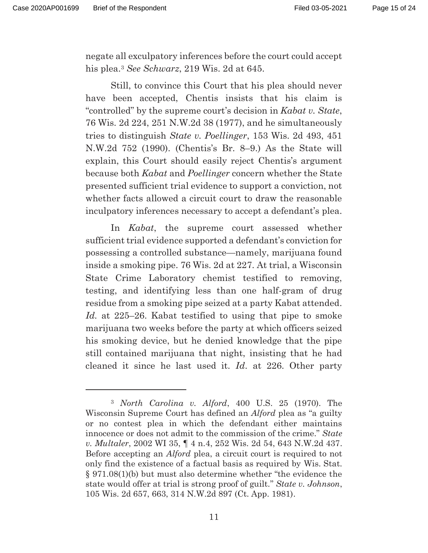negate all exculpatory inferences before the court could accept his plea.3 *See Schwarz*, 219 Wis. 2d at 645.

 Still, to convince this Court that his plea should never have been accepted, Chentis insists that his claim is "controlled" by the supreme court's decision in *Kabat v. State*, 76 Wis. 2d 224, 251 N.W.2d 38 (1977), and he simultaneously tries to distinguish *State v. Poellinger*, 153 Wis. 2d 493, 451 N.W.2d 752 (1990). (Chentis's Br. 8–9.) As the State will explain, this Court should easily reject Chentis's argument because both *Kabat* and *Poellinger* concern whether the State presented sufficient trial evidence to support a conviction, not whether facts allowed a circuit court to draw the reasonable inculpatory inferences necessary to accept a defendant's plea.

 In *Kabat*, the supreme court assessed whether sufficient trial evidence supported a defendant's conviction for possessing a controlled substance—namely, marijuana found inside a smoking pipe. 76 Wis. 2d at 227. At trial, a Wisconsin State Crime Laboratory chemist testified to removing, testing, and identifying less than one half-gram of drug residue from a smoking pipe seized at a party Kabat attended. *Id.* at 225–26. Kabat testified to using that pipe to smoke marijuana two weeks before the party at which officers seized his smoking device, but he denied knowledge that the pipe still contained marijuana that night, insisting that he had cleaned it since he last used it. *Id*. at 226. Other party

<sup>3</sup> *North Carolina v. Alford*, 400 U.S. 25 (1970). The Wisconsin Supreme Court has defined an *Alford* plea as "a guilty or no contest plea in which the defendant either maintains innocence or does not admit to the commission of the crime." *State v. Multaler*, 2002 WI 35, ¶ 4 n.4, 252 Wis. 2d 54, 643 N.W.2d 437. Before accepting an *Alford* plea, a circuit court is required to not only find the existence of a factual basis as required by Wis. Stat. § 971.08(1)(b) but must also determine whether "the evidence the state would offer at trial is strong proof of guilt." *State v. Johnson*, 105 Wis. 2d 657, 663, 314 N.W.2d 897 (Ct. App. 1981).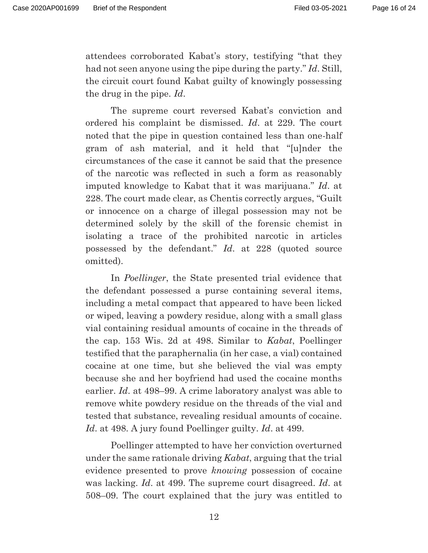attendees corroborated Kabat's story, testifying "that they had not seen anyone using the pipe during the party." *Id*. Still, the circuit court found Kabat guilty of knowingly possessing the drug in the pipe. *Id*.

 The supreme court reversed Kabat's conviction and ordered his complaint be dismissed. *Id*. at 229. The court noted that the pipe in question contained less than one-half gram of ash material, and it held that "[u]nder the circumstances of the case it cannot be said that the presence of the narcotic was reflected in such a form as reasonably imputed knowledge to Kabat that it was marijuana." *Id*. at 228. The court made clear, as Chentis correctly argues, "Guilt or innocence on a charge of illegal possession may not be determined solely by the skill of the forensic chemist in isolating a trace of the prohibited narcotic in articles possessed by the defendant." *Id*. at 228 (quoted source omitted).

 In *Poellinger*, the State presented trial evidence that the defendant possessed a purse containing several items, including a metal compact that appeared to have been licked or wiped, leaving a powdery residue, along with a small glass vial containing residual amounts of cocaine in the threads of the cap. 153 Wis. 2d at 498. Similar to *Kabat*, Poellinger testified that the paraphernalia (in her case, a vial) contained cocaine at one time, but she believed the vial was empty because she and her boyfriend had used the cocaine months earlier. *Id*. at 498–99. A crime laboratory analyst was able to remove white powdery residue on the threads of the vial and tested that substance, revealing residual amounts of cocaine. *Id*. at 498. A jury found Poellinger guilty. *Id*. at 499.

 Poellinger attempted to have her conviction overturned under the same rationale driving *Kabat*, arguing that the trial evidence presented to prove *knowing* possession of cocaine was lacking. *Id*. at 499. The supreme court disagreed. *Id*. at 508–09. The court explained that the jury was entitled to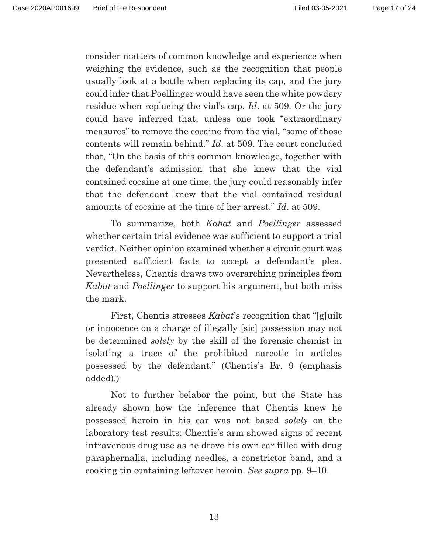consider matters of common knowledge and experience when weighing the evidence, such as the recognition that people usually look at a bottle when replacing its cap, and the jury could infer that Poellinger would have seen the white powdery residue when replacing the vial's cap. *Id*. at 509. Or the jury could have inferred that, unless one took "extraordinary measures" to remove the cocaine from the vial, "some of those contents will remain behind." *Id*. at 509. The court concluded that, "On the basis of this common knowledge, together with the defendant's admission that she knew that the vial contained cocaine at one time, the jury could reasonably infer that the defendant knew that the vial contained residual amounts of cocaine at the time of her arrest." *Id*. at 509.

 To summarize, both *Kabat* and *Poellinger* assessed whether certain trial evidence was sufficient to support a trial verdict. Neither opinion examined whether a circuit court was presented sufficient facts to accept a defendant's plea. Nevertheless, Chentis draws two overarching principles from *Kabat* and *Poellinger* to support his argument, but both miss the mark.

First, Chentis stresses *Kabat*'s recognition that "[g]uilt" or innocence on a charge of illegally [sic] possession may not be determined *solely* by the skill of the forensic chemist in isolating a trace of the prohibited narcotic in articles possessed by the defendant." (Chentis's Br. 9 (emphasis added).)

 Not to further belabor the point, but the State has already shown how the inference that Chentis knew he possessed heroin in his car was not based *solely* on the laboratory test results; Chentis's arm showed signs of recent intravenous drug use as he drove his own car filled with drug paraphernalia, including needles, a constrictor band, and a cooking tin containing leftover heroin. *See supra* pp. 9–10.

13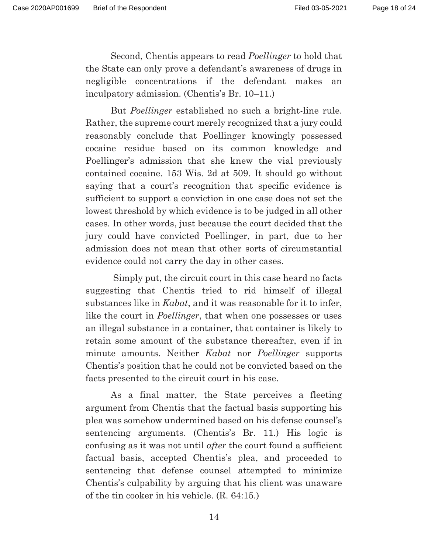Second, Chentis appears to read *Poellinger* to hold that the State can only prove a defendant's awareness of drugs in negligible concentrations if the defendant makes an inculpatory admission. (Chentis's Br. 10–11.)

 But *Poellinger* established no such a bright-line rule. Rather, the supreme court merely recognized that a jury could reasonably conclude that Poellinger knowingly possessed cocaine residue based on its common knowledge and Poellinger's admission that she knew the vial previously contained cocaine. 153 Wis. 2d at 509. It should go without saying that a court's recognition that specific evidence is sufficient to support a conviction in one case does not set the lowest threshold by which evidence is to be judged in all other cases. In other words, just because the court decided that the jury could have convicted Poellinger, in part, due to her admission does not mean that other sorts of circumstantial evidence could not carry the day in other cases.

 Simply put, the circuit court in this case heard no facts suggesting that Chentis tried to rid himself of illegal substances like in *Kabat*, and it was reasonable for it to infer, like the court in *Poellinger*, that when one possesses or uses an illegal substance in a container, that container is likely to retain some amount of the substance thereafter, even if in minute amounts. Neither *Kabat* nor *Poellinger* supports Chentis's position that he could not be convicted based on the facts presented to the circuit court in his case.

 As a final matter, the State perceives a fleeting argument from Chentis that the factual basis supporting his plea was somehow undermined based on his defense counsel's sentencing arguments. (Chentis's Br. 11.) His logic is confusing as it was not until *after* the court found a sufficient factual basis, accepted Chentis's plea, and proceeded to sentencing that defense counsel attempted to minimize Chentis's culpability by arguing that his client was unaware of the tin cooker in his vehicle. (R. 64:15.)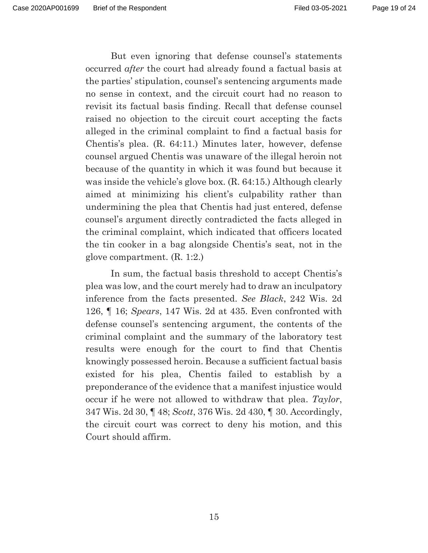But even ignoring that defense counsel's statements occurred *after* the court had already found a factual basis at the parties' stipulation, counsel's sentencing arguments made no sense in context, and the circuit court had no reason to revisit its factual basis finding. Recall that defense counsel raised no objection to the circuit court accepting the facts alleged in the criminal complaint to find a factual basis for Chentis's plea. (R. 64:11.) Minutes later, however, defense counsel argued Chentis was unaware of the illegal heroin not because of the quantity in which it was found but because it was inside the vehicle's glove box. (R. 64:15.) Although clearly aimed at minimizing his client's culpability rather than undermining the plea that Chentis had just entered, defense counsel's argument directly contradicted the facts alleged in the criminal complaint, which indicated that officers located the tin cooker in a bag alongside Chentis's seat, not in the glove compartment. (R. 1:2.)

 In sum, the factual basis threshold to accept Chentis's plea was low, and the court merely had to draw an inculpatory inference from the facts presented. *See Black*, 242 Wis. 2d 126, ¶ 16; *Spears*, 147 Wis. 2d at 435. Even confronted with defense counsel's sentencing argument, the contents of the criminal complaint and the summary of the laboratory test results were enough for the court to find that Chentis knowingly possessed heroin. Because a sufficient factual basis existed for his plea, Chentis failed to establish by a preponderance of the evidence that a manifest injustice would occur if he were not allowed to withdraw that plea. *Taylor*, 347 Wis. 2d 30, ¶ 48; *Scott*, 376 Wis. 2d 430, ¶ 30. Accordingly, the circuit court was correct to deny his motion, and this Court should affirm.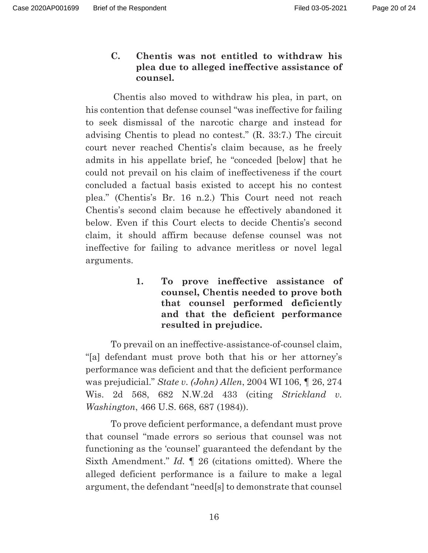**C. Chentis was not entitled to withdraw his plea due to alleged ineffective assistance of counsel.** 

 Chentis also moved to withdraw his plea, in part, on his contention that defense counsel "was ineffective for failing to seek dismissal of the narcotic charge and instead for advising Chentis to plead no contest." (R. 33:7.) The circuit court never reached Chentis's claim because, as he freely admits in his appellate brief, he "conceded [below] that he could not prevail on his claim of ineffectiveness if the court concluded a factual basis existed to accept his no contest plea." (Chentis's Br. 16 n.2.) This Court need not reach Chentis's second claim because he effectively abandoned it below. Even if this Court elects to decide Chentis's second claim, it should affirm because defense counsel was not ineffective for failing to advance meritless or novel legal arguments.

> **1. To prove ineffective assistance of counsel, Chentis needed to prove both that counsel performed deficiently and that the deficient performance resulted in prejudice.**

 To prevail on an ineffective-assistance-of-counsel claim, "[a] defendant must prove both that his or her attorney's performance was deficient and that the deficient performance was prejudicial." *State v. (John) Allen*, 2004 WI 106, ¶ 26, 274 Wis. 2d 568, 682 N.W.2d 433 (citing *Strickland v. Washington*, 466 U.S. 668, 687 (1984)).

 To prove deficient performance, a defendant must prove that counsel "made errors so serious that counsel was not functioning as the 'counsel' guaranteed the defendant by the Sixth Amendment." *Id.* ¶ 26 (citations omitted). Where the alleged deficient performance is a failure to make a legal argument, the defendant "need[s] to demonstrate that counsel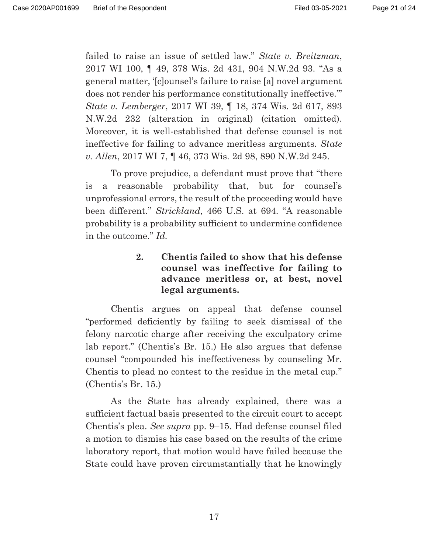failed to raise an issue of settled law." *State v. Breitzman*, 2017 WI 100, ¶ 49, 378 Wis. 2d 431, 904 N.W.2d 93. "As a general matter, '[c]ounsel's failure to raise [a] novel argument does not render his performance constitutionally ineffective.'" *State v. Lemberger*, 2017 WI 39, ¶ 18, 374 Wis. 2d 617, 893 N.W.2d 232 (alteration in original) (citation omitted). Moreover, it is well-established that defense counsel is not ineffective for failing to advance meritless arguments. *State v. Allen*, 2017 WI 7, ¶ 46, 373 Wis. 2d 98, 890 N.W.2d 245.

 To prove prejudice, a defendant must prove that "there is a reasonable probability that, but for counsel's unprofessional errors, the result of the proceeding would have been different." *Strickland*, 466 U.S. at 694. "A reasonable probability is a probability sufficient to undermine confidence in the outcome." *Id.*

> **2. Chentis failed to show that his defense counsel was ineffective for failing to advance meritless or, at best, novel legal arguments.**

 Chentis argues on appeal that defense counsel "performed deficiently by failing to seek dismissal of the felony narcotic charge after receiving the exculpatory crime lab report." (Chentis's Br. 15.) He also argues that defense counsel "compounded his ineffectiveness by counseling Mr. Chentis to plead no contest to the residue in the metal cup." (Chentis's Br. 15.)

 As the State has already explained, there was a sufficient factual basis presented to the circuit court to accept Chentis's plea. *See supra* pp. 9–15. Had defense counsel filed a motion to dismiss his case based on the results of the crime laboratory report, that motion would have failed because the State could have proven circumstantially that he knowingly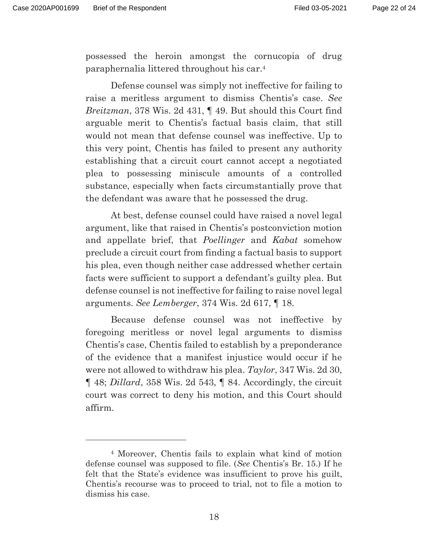possessed the heroin amongst the cornucopia of drug paraphernalia littered throughout his car.4

 Defense counsel was simply not ineffective for failing to raise a meritless argument to dismiss Chentis's case. *See Breitzman*, 378 Wis. 2d 431, ¶ 49. But should this Court find arguable merit to Chentis's factual basis claim, that still would not mean that defense counsel was ineffective. Up to this very point, Chentis has failed to present any authority establishing that a circuit court cannot accept a negotiated plea to possessing miniscule amounts of a controlled substance, especially when facts circumstantially prove that the defendant was aware that he possessed the drug.

 At best, defense counsel could have raised a novel legal argument, like that raised in Chentis's postconviction motion and appellate brief, that *Poellinger* and *Kabat* somehow preclude a circuit court from finding a factual basis to support his plea, even though neither case addressed whether certain facts were sufficient to support a defendant's guilty plea. But defense counsel is not ineffective for failing to raise novel legal arguments. *See Lemberger*, 374 Wis. 2d 617, ¶ 18.

 Because defense counsel was not ineffective by foregoing meritless or novel legal arguments to dismiss Chentis's case, Chentis failed to establish by a preponderance of the evidence that a manifest injustice would occur if he were not allowed to withdraw his plea. *Taylor*, 347 Wis. 2d 30, ¶ 48; *Dillard*, 358 Wis. 2d 543, ¶ 84. Accordingly, the circuit court was correct to deny his motion, and this Court should affirm.

<sup>4</sup> Moreover, Chentis fails to explain what kind of motion defense counsel was supposed to file. (*See* Chentis's Br. 15.) If he felt that the State's evidence was insufficient to prove his guilt, Chentis's recourse was to proceed to trial, not to file a motion to dismiss his case.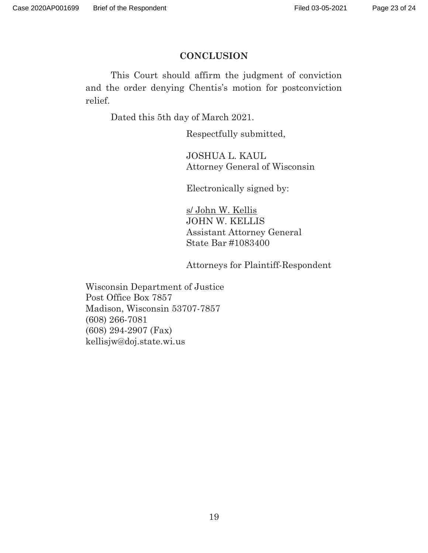## **CONCLUSION**

 This Court should affirm the judgment of conviction and the order denying Chentis's motion for postconviction relief.

Dated this 5th day of March 2021.

Respectfully submitted,

 JOSHUA L. KAUL Attorney General of Wisconsin

Electronically signed by:

 s/ John W. Kellis JOHN W. KELLIS Assistant Attorney General State Bar #1083400

Attorneys for Plaintiff-Respondent

Wisconsin Department of Justice Post Office Box 7857 Madison, Wisconsin 53707-7857 (608) 266-7081 (608) 294-2907 (Fax) kellisjw@doj.state.wi.us